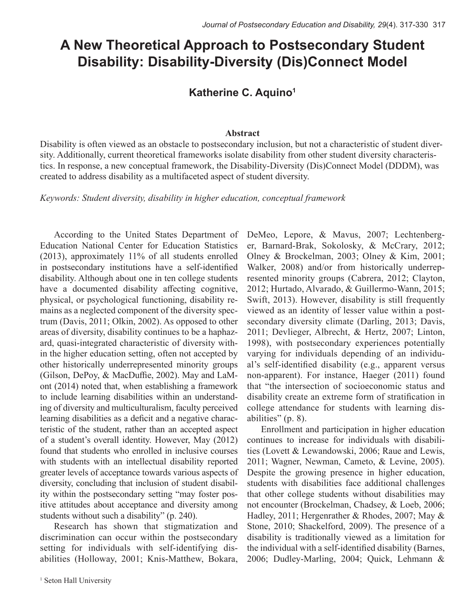# **A New Theoretical Approach to Postsecondary Student Disability: Disability-Diversity (Dis)Connect Model**

## **Katherine C. Aquino1**

#### **Abstract**

Disability is often viewed as an obstacle to postsecondary inclusion, but not a characteristic of student diversity. Additionally, current theoretical frameworks isolate disability from other student diversity characteristics. In response, a new conceptual framework, the Disability-Diversity (Dis)Connect Model (DDDM), was created to address disability as a multifaceted aspect of student diversity.

*Keywords: Student diversity, disability in higher education, conceptual framework*

According to the United States Department of Education National Center for Education Statistics (2013), approximately 11% of all students enrolled in postsecondary institutions have a self-identified disability. Although about one in ten college students have a documented disability affecting cognitive, physical, or psychological functioning, disability remains as a neglected component of the diversity spectrum (Davis, 2011; Olkin, 2002). As opposed to other areas of diversity, disability continues to be a haphazard, quasi-integrated characteristic of diversity within the higher education setting, often not accepted by other historically underrepresented minority groups (Gilson, DePoy, & MacDuffie, 2002). May and LaMont (2014) noted that, when establishing a framework to include learning disabilities within an understanding of diversity and multiculturalism, faculty perceived learning disabilities as a deficit and a negative characteristic of the student, rather than an accepted aspect of a student's overall identity. However, May (2012) found that students who enrolled in inclusive courses with students with an intellectual disability reported greater levels of acceptance towards various aspects of diversity, concluding that inclusion of student disability within the postsecondary setting "may foster positive attitudes about acceptance and diversity among students without such a disability" (p. 240).

Research has shown that stigmatization and discrimination can occur within the postsecondary setting for individuals with self-identifying disabilities (Holloway, 2001; Knis-Matthew, Bokara,

DeMeo, Lepore, & Mavus, 2007; Lechtenberger, Barnard-Brak, Sokolosky, & McCrary, 2012; Olney & Brockelman, 2003; Olney & Kim, 2001; Walker, 2008) and/or from historically underrepresented minority groups (Cabrera, 2012; Clayton, 2012; Hurtado, Alvarado, & Guillermo-Wann, 2015; Swift, 2013). However, disability is still frequently viewed as an identity of lesser value within a postsecondary diversity climate (Darling, 2013; Davis, 2011; Devlieger, Albrecht, & Hertz, 2007; Linton, 1998), with postsecondary experiences potentially varying for individuals depending of an individual's self-identified disability (e.g., apparent versus non-apparent). For instance, Haeger (2011) found that "the intersection of socioeconomic status and disability create an extreme form of stratification in college attendance for students with learning disabilities" (p. 8).

Enrollment and participation in higher education continues to increase for individuals with disabilities (Lovett & Lewandowski, 2006; Raue and Lewis, 2011; Wagner, Newman, Cameto, & Levine, 2005). Despite the growing presence in higher education, students with disabilities face additional challenges that other college students without disabilities may not encounter (Brockelman, Chadsey, & Loeb, 2006; Hadley, 2011; Hergenrather & Rhodes, 2007; May & Stone, 2010; Shackelford, 2009). The presence of a disability is traditionally viewed as a limitation for the individual with a self-identified disability (Barnes, 2006; Dudley-Marling, 2004; Quick, Lehmann &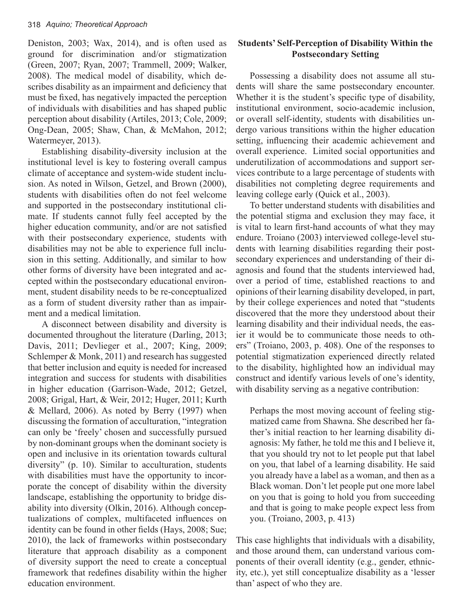Deniston, 2003; Wax, 2014), and is often used as ground for discrimination and/or stigmatization (Green, 2007; Ryan, 2007; Trammell, 2009; Walker, 2008). The medical model of disability, which describes disability as an impairment and deficiency that must be fixed, has negatively impacted the perception of individuals with disabilities and has shaped public perception about disability (Artiles, 2013; Cole, 2009; Ong-Dean, 2005; Shaw, Chan, & McMahon, 2012; Watermeyer, 2013).

Establishing disability-diversity inclusion at the institutional level is key to fostering overall campus climate of acceptance and system-wide student inclusion. As noted in Wilson, Getzel, and Brown (2000), students with disabilities often do not feel welcome and supported in the postsecondary institutional climate. If students cannot fully feel accepted by the higher education community, and/or are not satisfied with their postsecondary experience, students with disabilities may not be able to experience full inclusion in this setting. Additionally, and similar to how other forms of diversity have been integrated and accepted within the postsecondary educational environment, student disability needs to be re-conceptualized as a form of student diversity rather than as impairment and a medical limitation.

A disconnect between disability and diversity is documented throughout the literature (Darling, 2013; Davis, 2011; Devlieger et al., 2007; King, 2009; Schlemper & Monk, 2011) and research has suggested that better inclusion and equity is needed for increased integration and success for students with disabilities in higher education (Garrison-Wade, 2012; Getzel, 2008; Grigal, Hart, & Weir, 2012; Huger, 2011; Kurth & Mellard, 2006). As noted by Berry (1997) when discussing the formation of acculturation, "integration can only be 'freely' chosen and successfully pursued by non-dominant groups when the dominant society is open and inclusive in its orientation towards cultural diversity" (p. 10). Similar to acculturation, students with disabilities must have the opportunity to incorporate the concept of disability within the diversity landscape, establishing the opportunity to bridge disability into diversity (Olkin, 2016). Although conceptualizations of complex, multifaceted influences on identity can be found in other fields (Hays, 2008; Sue; 2010), the lack of frameworks within postsecondary literature that approach disability as a component of diversity support the need to create a conceptual framework that redefines disability within the higher education environment.

## **Students' Self-Perception of Disability Within the Postsecondary Setting**

Possessing a disability does not assume all students will share the same postsecondary encounter. Whether it is the student's specific type of disability, institutional environment, socio-academic inclusion, or overall self-identity, students with disabilities undergo various transitions within the higher education setting, influencing their academic achievement and overall experience. Limited social opportunities and underutilization of accommodations and support services contribute to a large percentage of students with disabilities not completing degree requirements and leaving college early (Quick et al., 2003).

To better understand students with disabilities and the potential stigma and exclusion they may face, it is vital to learn first-hand accounts of what they may endure. Troiano (2003) interviewed college-level students with learning disabilities regarding their postsecondary experiences and understanding of their diagnosis and found that the students interviewed had, over a period of time, established reactions to and opinions of their learning disability developed, in part, by their college experiences and noted that "students discovered that the more they understood about their learning disability and their individual needs, the easier it would be to communicate those needs to others" (Troiano, 2003, p. 408). One of the responses to potential stigmatization experienced directly related to the disability, highlighted how an individual may construct and identify various levels of one's identity, with disability serving as a negative contribution:

Perhaps the most moving account of feeling stigmatized came from Shawna. She described her father's initial reaction to her learning disability diagnosis: My father, he told me this and I believe it, that you should try not to let people put that label on you, that label of a learning disability. He said you already have a label as a woman, and then as a Black woman. Don't let people put one more label on you that is going to hold you from succeeding and that is going to make people expect less from you. (Troiano, 2003, p. 413)

This case highlights that individuals with a disability, and those around them, can understand various components of their overall identity (e.g., gender, ethnicity, etc.), yet still conceptualize disability as a 'lesser than' aspect of who they are.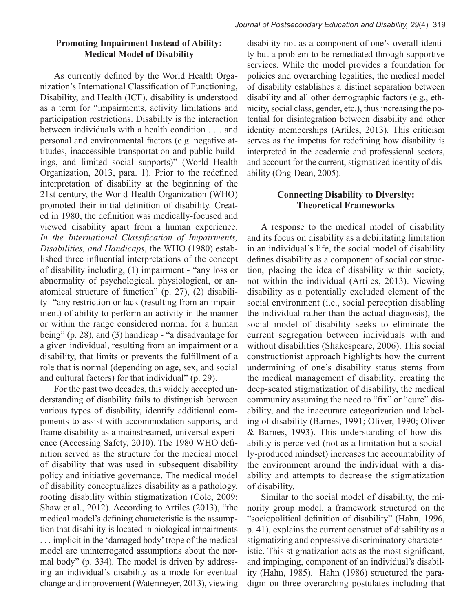As currently defined by the World Health Organization's International Classification of Functioning, Disability, and Health (ICF), disability is understood as a term for "impairments, activity limitations and participation restrictions. Disability is the interaction between individuals with a health condition . . . and personal and environmental factors (e.g. negative attitudes, inaccessible transportation and public buildings, and limited social supports)" (World Health Organization, 2013, para. 1). Prior to the redefined interpretation of disability at the beginning of the 21st century, the World Health Organization (WHO) promoted their initial definition of disability. Created in 1980, the definition was medically-focused and viewed disability apart from a human experience. *In the International Classification of Impairments, Disabilities, and Handicaps*, the WHO (1980) established three influential interpretations of the concept of disability including, (1) impairment - "any loss or abnormality of psychological, physiological, or anatomical structure of function" (p. 27), (2) disability- "any restriction or lack (resulting from an impairment) of ability to perform an activity in the manner or within the range considered normal for a human being" (p. 28), and (3) handicap - "a disadvantage for a given individual, resulting from an impairment or a disability, that limits or prevents the fulfillment of a role that is normal (depending on age, sex, and social and cultural factors) for that individual" (p. 29).

For the past two decades, this widely accepted understanding of disability fails to distinguish between various types of disability, identify additional components to assist with accommodation supports, and frame disability as a mainstreamed, universal experience (Accessing Safety, 2010). The 1980 WHO definition served as the structure for the medical model of disability that was used in subsequent disability policy and initiative governance. The medical model of disability conceptualizes disability as a pathology, rooting disability within stigmatization (Cole, 2009; Shaw et al., 2012). According to Artiles (2013), "the medical model's defining characteristic is the assumption that disability is located in biological impairments . . . implicit in the 'damaged body' trope of the medical model are uninterrogated assumptions about the normal body" (p. 334). The model is driven by addressing an individual's disability as a mode for eventual change and improvement (Watermeyer, 2013), viewing

disability not as a component of one's overall identity but a problem to be remediated through supportive services. While the model provides a foundation for policies and overarching legalities, the medical model of disability establishes a distinct separation between disability and all other demographic factors (e.g., ethnicity, social class, gender, etc.), thus increasing the potential for disintegration between disability and other identity memberships (Artiles, 2013). This criticism serves as the impetus for redefining how disability is interpreted in the academic and professional sectors, and account for the current, stigmatized identity of disability (Ong-Dean, 2005).

## **Connecting Disability to Diversity: Theoretical Frameworks**

A response to the medical model of disability and its focus on disability as a debilitating limitation in an individual's life, the social model of disability defines disability as a component of social construction, placing the idea of disability within society, not within the individual (Artiles, 2013). Viewing disability as a potentially excluded element of the social environment (i.e., social perception disabling the individual rather than the actual diagnosis), the social model of disability seeks to eliminate the current segregation between individuals with and without disabilities (Shakespeare, 2006). This social constructionist approach highlights how the current undermining of one's disability status stems from the medical management of disability, creating the deep-seated stigmatization of disability, the medical community assuming the need to "fix" or "cure" disability, and the inaccurate categorization and labeling of disability (Barnes, 1991; Oliver, 1990; Oliver & Barnes, 1993). This understanding of how disability is perceived (not as a limitation but a socially-produced mindset) increases the accountability of the environment around the individual with a disability and attempts to decrease the stigmatization of disability.

Similar to the social model of disability, the minority group model, a framework structured on the "sociopolitical definition of disability" (Hahn, 1996, p. 41), explains the current construct of disability as a stigmatizing and oppressive discriminatory characteristic. This stigmatization acts as the most significant, and impinging, component of an individual's disability (Hahn, 1985). Hahn (1986) structured the paradigm on three overarching postulates including that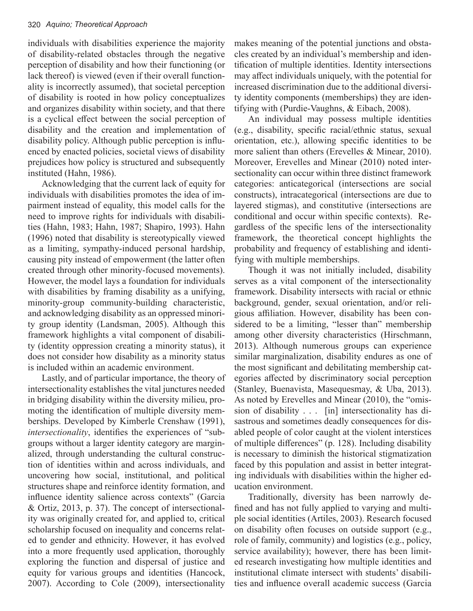individuals with disabilities experience the majority of disability-related obstacles through the negative perception of disability and how their functioning (or lack thereof) is viewed (even if their overall functionality is incorrectly assumed), that societal perception of disability is rooted in how policy conceptualizes and organizes disability within society, and that there is a cyclical effect between the social perception of disability and the creation and implementation of disability policy. Although public perception is influenced by enacted policies, societal views of disability prejudices how policy is structured and subsequently instituted (Hahn, 1986).

Acknowledging that the current lack of equity for individuals with disabilities promotes the idea of impairment instead of equality, this model calls for the need to improve rights for individuals with disabilities (Hahn, 1983; Hahn, 1987; Shapiro, 1993). Hahn (1996) noted that disability is stereotypically viewed as a limiting, sympathy-induced personal hardship, causing pity instead of empowerment (the latter often created through other minority-focused movements). However, the model lays a foundation for individuals with disabilities by framing disability as a unifying, minority-group community-building characteristic, and acknowledging disability as an oppressed minority group identity (Landsman, 2005). Although this framework highlights a vital component of disability (identity oppression creating a minority status), it does not consider how disability as a minority status is included within an academic environment.

Lastly, and of particular importance, the theory of intersectionality establishes the vital junctures needed in bridging disability within the diversity milieu, promoting the identification of multiple diversity memberships. Developed by Kimberle Crenshaw (1991), *intersectionality*, identifies the experiences of "subgroups without a larger identity category are marginalized, through understanding the cultural construction of identities within and across individuals, and uncovering how social, institutional, and political structures shape and reinforce identity formation, and influence identity salience across contexts" (Garcia & Ortiz, 2013, p. 37). The concept of intersectionality was originally created for, and applied to, critical scholarship focused on inequality and concerns related to gender and ethnicity. However, it has evolved into a more frequently used application, thoroughly exploring the function and dispersal of justice and equity for various groups and identities (Hancock, 2007). According to Cole (2009), intersectionality

makes meaning of the potential junctions and obstacles created by an individual's membership and identification of multiple identities. Identity intersections may affect individuals uniquely, with the potential for increased discrimination due to the additional diversity identity components (memberships) they are identifying with (Purdie-Vaughns, & Eibach, 2008).

An individual may possess multiple identities (e.g., disability, specific racial/ethnic status, sexual orientation, etc.), allowing specific identities to be more salient than others (Erevelles & Minear, 2010). Moreover, Erevelles and Minear (2010) noted intersectionality can occur within three distinct framework categories: anticategorical (intersections are social constructs), intracategorical (intersections are due to layered stigmas), and constitutive (intersections are conditional and occur within specific contexts). Regardless of the specific lens of the intersectionality framework, the theoretical concept highlights the probability and frequency of establishing and identifying with multiple memberships.

Though it was not initially included, disability serves as a vital component of the intersectionality framework. Disability intersects with racial or ethnic background, gender, sexual orientation, and/or religious affiliation. However, disability has been considered to be a limiting, "lesser than" membership among other diversity characteristics (Hirschmann, 2013). Although numerous groups can experience similar marginalization, disability endures as one of the most significant and debilitating membership categories affected by discriminatory social perception (Stanley, Buenavista, Masequesmay, & Uba, 2013). As noted by Erevelles and Minear (2010), the "omission of disability . . . [in] intersectionality has disastrous and sometimes deadly consequences for disabled people of color caught at the violent interstices of multiple differences" (p. 128). Including disability is necessary to diminish the historical stigmatization faced by this population and assist in better integrating individuals with disabilities within the higher education environment.

Traditionally, diversity has been narrowly defined and has not fully applied to varying and multiple social identities (Artiles, 2003). Research focused on disability often focuses on outside support (e.g., role of family, community) and logistics (e.g., policy, service availability); however, there has been limited research investigating how multiple identities and institutional climate intersect with students' disabilities and influence overall academic success (Garcia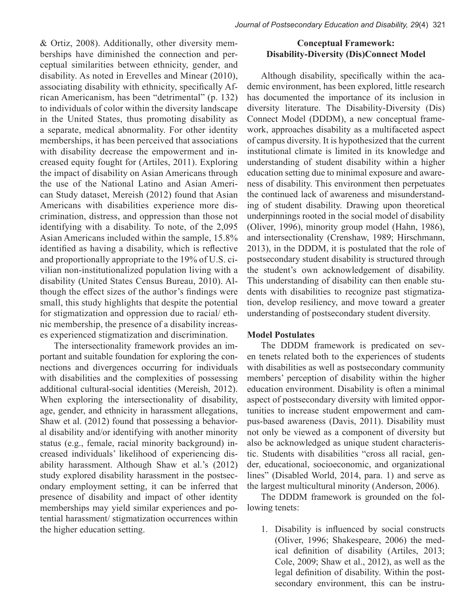*Journal of Postsecondary Education and Disability, 29*(4) 321

& Ortiz, 2008). Additionally, other diversity memberships have diminished the connection and perceptual similarities between ethnicity, gender, and disability. As noted in Erevelles and Minear (2010), associating disability with ethnicity, specifically African Americanism, has been "detrimental" (p. 132) to individuals of color within the diversity landscape in the United States, thus promoting disability as a separate, medical abnormality. For other identity memberships, it has been perceived that associations with disability decrease the empowerment and increased equity fought for (Artiles, 2011). Exploring the impact of disability on Asian Americans through the use of the National Latino and Asian American Study dataset, Mereish (2012) found that Asian Americans with disabilities experience more discrimination, distress, and oppression than those not identifying with a disability. To note, of the 2,095 Asian Americans included within the sample, 15.8% identified as having a disability, which is reflective and proportionally appropriate to the 19% of U.S. civilian non-institutionalized population living with a disability (United States Census Bureau, 2010). Although the effect sizes of the author's findings were small, this study highlights that despite the potential for stigmatization and oppression due to racial/ ethnic membership, the presence of a disability increases experienced stigmatization and discrimination.

The intersectionality framework provides an important and suitable foundation for exploring the connections and divergences occurring for individuals with disabilities and the complexities of possessing additional cultural-social identities (Mereish, 2012). When exploring the intersectionality of disability, age, gender, and ethnicity in harassment allegations, Shaw et al. (2012) found that possessing a behavioral disability and/or identifying with another minority status (e.g., female, racial minority background) increased individuals' likelihood of experiencing disability harassment. Although Shaw et al.'s (2012) study explored disability harassment in the postsecondary employment setting, it can be inferred that presence of disability and impact of other identity memberships may yield similar experiences and potential harassment/ stigmatization occurrences within the higher education setting.

## **Conceptual Framework: Disability-Diversity (Dis)Connect Model**

Although disability, specifically within the academic environment, has been explored, little research has documented the importance of its inclusion in diversity literature. The Disability-Diversity (Dis) Connect Model (DDDM), a new conceptual framework, approaches disability as a multifaceted aspect of campus diversity. It is hypothesized that the current institutional climate is limited in its knowledge and understanding of student disability within a higher education setting due to minimal exposure and awareness of disability. This environment then perpetuates the continued lack of awareness and misunderstanding of student disability. Drawing upon theoretical underpinnings rooted in the social model of disability (Oliver, 1996), minority group model (Hahn, 1986), and intersectionality (Crenshaw, 1989; Hirschmann, 2013), in the DDDM, it is postulated that the role of postsecondary student disability is structured through the student's own acknowledgement of disability. This understanding of disability can then enable students with disabilities to recognize past stigmatization, develop resiliency, and move toward a greater understanding of postsecondary student diversity.

### **Model Postulates**

The DDDM framework is predicated on seven tenets related both to the experiences of students with disabilities as well as postsecondary community members' perception of disability within the higher education environment. Disability is often a minimal aspect of postsecondary diversity with limited opportunities to increase student empowerment and campus-based awareness (Davis, 2011). Disability must not only be viewed as a component of diversity but also be acknowledged as unique student characteristic. Students with disabilities "cross all racial, gender, educational, socioeconomic, and organizational lines" (Disabled World, 2014, para. 1) and serve as the largest multicultural minority (Anderson, 2006).

The DDDM framework is grounded on the following tenets:

1. Disability is influenced by social constructs (Oliver, 1996; Shakespeare, 2006) the medical definition of disability (Artiles, 2013; Cole, 2009; Shaw et al., 2012), as well as the legal definition of disability. Within the postsecondary environment, this can be instru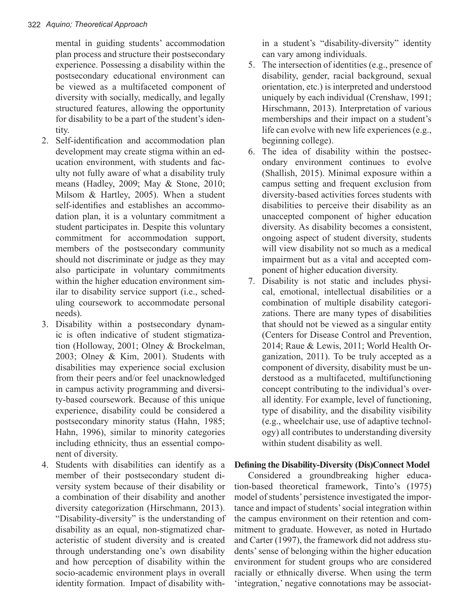mental in guiding students' accommodation plan process and structure their postsecondary experience. Possessing a disability within the postsecondary educational environment can be viewed as a multifaceted component of diversity with socially, medically, and legally structured features, allowing the opportunity for disability to be a part of the student's identity.

- 2. Self-identification and accommodation plan development may create stigma within an education environment, with students and faculty not fully aware of what a disability truly means (Hadley, 2009; May & Stone, 2010; Milsom & Hartley, 2005). When a student self-identifies and establishes an accommodation plan, it is a voluntary commitment a student participates in. Despite this voluntary commitment for accommodation support, members of the postsecondary community should not discriminate or judge as they may also participate in voluntary commitments within the higher education environment similar to disability service support (i.e., scheduling coursework to accommodate personal needs).
- 3. Disability within a postsecondary dynamic is often indicative of student stigmatization (Holloway, 2001; Olney & Brockelman, 2003; Olney & Kim, 2001). Students with disabilities may experience social exclusion from their peers and/or feel unacknowledged in campus activity programming and diversity-based coursework. Because of this unique experience, disability could be considered a postsecondary minority status (Hahn, 1985; Hahn, 1996), similar to minority categories including ethnicity, thus an essential component of diversity.
- 4. Students with disabilities can identify as a member of their postsecondary student diversity system because of their disability or a combination of their disability and another diversity categorization (Hirschmann, 2013). "Disability-diversity" is the understanding of disability as an equal, non-stigmatized characteristic of student diversity and is created through understanding one's own disability and how perception of disability within the socio-academic environment plays in overall identity formation. Impact of disability with-

in a student's "disability-diversity" identity can vary among individuals.

- 5. The intersection of identities (e.g., presence of disability, gender, racial background, sexual orientation, etc.) is interpreted and understood uniquely by each individual (Crenshaw, 1991; Hirschmann, 2013). Interpretation of various memberships and their impact on a student's life can evolve with new life experiences (e.g., beginning college).
- 6. The idea of disability within the postsecondary environment continues to evolve (Shallish, 2015). Minimal exposure within a campus setting and frequent exclusion from diversity-based activities forces students with disabilities to perceive their disability as an unaccepted component of higher education diversity. As disability becomes a consistent, ongoing aspect of student diversity, students will view disability not so much as a medical impairment but as a vital and accepted component of higher education diversity.
- 7. Disability is not static and includes physical, emotional, intellectual disabilities or a combination of multiple disability categorizations. There are many types of disabilities that should not be viewed as a singular entity (Centers for Disease Control and Prevention, 2014; Raue & Lewis, 2011; World Health Organization, 2011). To be truly accepted as a component of diversity, disability must be understood as a multifaceted, multifunctioning concept contributing to the individual's overall identity. For example, level of functioning, type of disability, and the disability visibility (e.g., wheelchair use, use of adaptive technology) all contributes to understanding diversity within student disability as well.

## **Defining the Disability-Diversity (Dis)Connect Model**

Considered a groundbreaking higher education-based theoretical framework, Tinto's (1975) model of students' persistence investigated the importance and impact of students' social integration within the campus environment on their retention and commitment to graduate. However, as noted in Hurtado and Carter (1997), the framework did not address students' sense of belonging within the higher education environment for student groups who are considered racially or ethnically diverse. When using the term 'integration,' negative connotations may be associat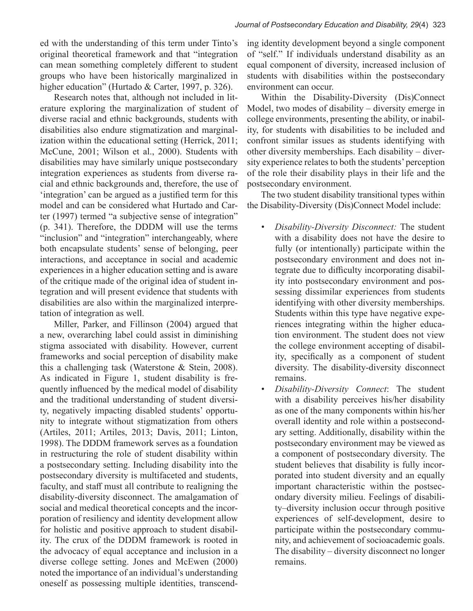ed with the understanding of this term under Tinto's original theoretical framework and that "integration can mean something completely different to student groups who have been historically marginalized in higher education" (Hurtado & Carter, 1997, p. 326).

Research notes that, although not included in literature exploring the marginalization of student of diverse racial and ethnic backgrounds, students with disabilities also endure stigmatization and marginalization within the educational setting (Herrick, 2011; McCune, 2001; Wilson et al., 2000). Students with disabilities may have similarly unique postsecondary integration experiences as students from diverse racial and ethnic backgrounds and, therefore, the use of 'integration' can be argued as a justified term for this model and can be considered what Hurtado and Carter (1997) termed "a subjective sense of integration" (p. 341). Therefore, the DDDM will use the terms "inclusion" and "integration" interchangeably, where both encapsulate students' sense of belonging, peer interactions, and acceptance in social and academic experiences in a higher education setting and is aware of the critique made of the original idea of student integration and will present evidence that students with disabilities are also within the marginalized interpretation of integration as well.

Miller, Parker, and Fillinson (2004) argued that a new, overarching label could assist in diminishing stigma associated with disability. However, current frameworks and social perception of disability make this a challenging task (Waterstone & Stein, 2008). As indicated in Figure 1, student disability is frequently influenced by the medical model of disability and the traditional understanding of student diversity, negatively impacting disabled students' opportunity to integrate without stigmatization from others (Artiles, 2011; Artiles, 2013; Davis, 2011; Linton, 1998). The DDDM framework serves as a foundation in restructuring the role of student disability within a postsecondary setting. Including disability into the postsecondary diversity is multifaceted and students, faculty, and staff must all contribute to realigning the disability-diversity disconnect. The amalgamation of social and medical theoretical concepts and the incorporation of resiliency and identity development allow for holistic and positive approach to student disability. The crux of the DDDM framework is rooted in the advocacy of equal acceptance and inclusion in a diverse college setting. Jones and McEwen (2000) noted the importance of an individual's understanding oneself as possessing multiple identities, transcending identity development beyond a single component of "self." If individuals understand disability as an equal component of diversity, increased inclusion of students with disabilities within the postsecondary environment can occur.

Within the Disability-Diversity (Dis)Connect Model, two modes of disability – diversity emerge in college environments, presenting the ability, or inability, for students with disabilities to be included and confront similar issues as students identifying with other diversity memberships. Each disability – diversity experience relates to both the students' perception of the role their disability plays in their life and the postsecondary environment.

The two student disability transitional types within the Disability-Diversity (Dis)Connect Model include:

- *• Disability-Diversity Disconnect:* The student with a disability does not have the desire to fully (or intentionally) participate within the postsecondary environment and does not integrate due to difficulty incorporating disability into postsecondary environment and possessing dissimilar experiences from students identifying with other diversity memberships. Students within this type have negative experiences integrating within the higher education environment. The student does not view the college environment accepting of disability, specifically as a component of student diversity. The disability-diversity disconnect remains.
- *• Disability-Diversity Connect*: The student with a disability perceives his/her disability as one of the many components within his/her overall identity and role within a postsecondary setting. Additionally, disability within the postsecondary environment may be viewed as a component of postsecondary diversity. The student believes that disability is fully incorporated into student diversity and an equally important characteristic within the postsecondary diversity milieu. Feelings of disability–diversity inclusion occur through positive experiences of self-development, desire to participate within the postsecondary community, and achievement of socioacademic goals. The disability – diversity disconnect no longer remains.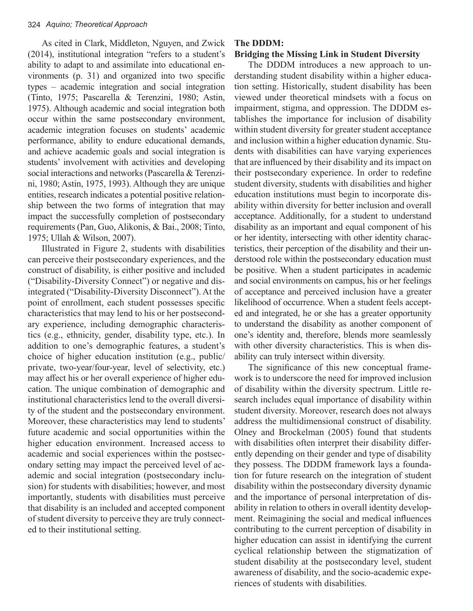As cited in Clark, Middleton, Nguyen, and Zwick (2014), institutional integration "refers to a student's ability to adapt to and assimilate into educational environments (p. 31) and organized into two specific types – academic integration and social integration (Tinto, 1975; Pascarella & Terenzini, 1980; Astin, 1975). Although academic and social integration both occur within the same postsecondary environment, academic integration focuses on students' academic performance, ability to endure educational demands, and achieve academic goals and social integration is students' involvement with activities and developing social interactions and networks (Pascarella & Terenzini, 1980; Astin, 1975, 1993). Although they are unique entities, research indicates a potential positive relationship between the two forms of integration that may impact the successfully completion of postsecondary requirements (Pan, Guo, Alikonis, & Bai., 2008; Tinto, 1975; Ullah & Wilson, 2007).

Illustrated in Figure 2, students with disabilities can perceive their postsecondary experiences, and the construct of disability, is either positive and included ("Disability-Diversity Connect") or negative and disintegrated ("Disability-Diversity Disconnect"). At the point of enrollment, each student possesses specific characteristics that may lend to his or her postsecondary experience, including demographic characteristics (e.g., ethnicity, gender, disability type, etc.). In addition to one's demographic features, a student's choice of higher education institution (e.g., public/ private, two-year/four-year, level of selectivity, etc.) may affect his or her overall experience of higher education. The unique combination of demographic and institutional characteristics lend to the overall diversity of the student and the postsecondary environment. Moreover, these characteristics may lend to students' future academic and social opportunities within the higher education environment. Increased access to academic and social experiences within the postsecondary setting may impact the perceived level of academic and social integration (postsecondary inclusion) for students with disabilities; however, and most importantly, students with disabilities must perceive that disability is an included and accepted component of student diversity to perceive they are truly connected to their institutional setting.

#### **The DDDM: Bridging the Missing Link in Student Diversity**

The DDDM introduces a new approach to understanding student disability within a higher education setting. Historically, student disability has been viewed under theoretical mindsets with a focus on impairment, stigma, and oppression. The DDDM establishes the importance for inclusion of disability within student diversity for greater student acceptance and inclusion within a higher education dynamic. Students with disabilities can have varying experiences that are influenced by their disability and its impact on their postsecondary experience. In order to redefine student diversity, students with disabilities and higher education institutions must begin to incorporate disability within diversity for better inclusion and overall acceptance. Additionally, for a student to understand disability as an important and equal component of his or her identity, intersecting with other identity characteristics, their perception of the disability and their understood role within the postsecondary education must be positive. When a student participates in academic and social environments on campus, his or her feelings of acceptance and perceived inclusion have a greater likelihood of occurrence. When a student feels accepted and integrated, he or she has a greater opportunity to understand the disability as another component of one's identity and, therefore, blends more seamlessly with other diversity characteristics. This is when disability can truly intersect within diversity.

The significance of this new conceptual framework is to underscore the need for improved inclusion of disability within the diversity spectrum. Little research includes equal importance of disability within student diversity. Moreover, research does not always address the multidimensional construct of disability. Olney and Brockelman (2005) found that students with disabilities often interpret their disability differently depending on their gender and type of disability they possess. The DDDM framework lays a foundation for future research on the integration of student disability within the postsecondary diversity dynamic and the importance of personal interpretation of disability in relation to others in overall identity development. Reimagining the social and medical influences contributing to the current perception of disability in higher education can assist in identifying the current cyclical relationship between the stigmatization of student disability at the postsecondary level, student awareness of disability, and the socio-academic experiences of students with disabilities.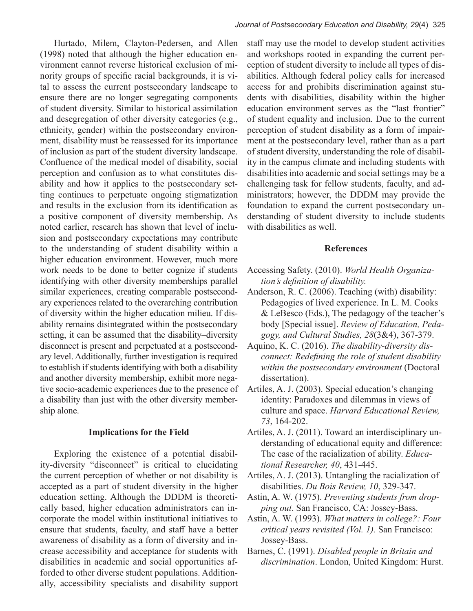Hurtado, Milem, Clayton-Pedersen, and Allen (1998) noted that although the higher education environment cannot reverse historical exclusion of minority groups of specific racial backgrounds, it is vital to assess the current postsecondary landscape to ensure there are no longer segregating components of student diversity. Similar to historical assimilation and desegregation of other diversity categories (e.g., ethnicity, gender) within the postsecondary environment, disability must be reassessed for its importance of inclusion as part of the student diversity landscape. Confluence of the medical model of disability, social perception and confusion as to what constitutes disability and how it applies to the postsecondary setting continues to perpetuate ongoing stigmatization and results in the exclusion from its identification as a positive component of diversity membership. As noted earlier, research has shown that level of inclusion and postsecondary expectations may contribute to the understanding of student disability within a higher education environment. However, much more work needs to be done to better cognize if students identifying with other diversity memberships parallel similar experiences, creating comparable postsecondary experiences related to the overarching contribution of diversity within the higher education milieu. If disability remains disintegrated within the postsecondary setting, it can be assumed that the disability–diversity disconnect is present and perpetuated at a postsecondary level. Additionally, further investigation is required to establish if students identifying with both a disability and another diversity membership, exhibit more negative socio-academic experiences due to the presence of a disability than just with the other diversity membership alone.

#### **Implications for the Field**

Exploring the existence of a potential disability-diversity "disconnect" is critical to elucidating the current perception of whether or not disability is accepted as a part of student diversity in the higher education setting. Although the DDDM is theoretically based, higher education administrators can incorporate the model within institutional initiatives to ensure that students, faculty, and staff have a better awareness of disability as a form of diversity and increase accessibility and acceptance for students with disabilities in academic and social opportunities afforded to other diverse student populations. Additionally, accessibility specialists and disability support

staff may use the model to develop student activities and workshops rooted in expanding the current perception of student diversity to include all types of disabilities. Although federal policy calls for increased access for and prohibits discrimination against students with disabilities, disability within the higher education environment serves as the "last frontier" of student equality and inclusion. Due to the current perception of student disability as a form of impairment at the postsecondary level, rather than as a part of student diversity, understanding the role of disability in the campus climate and including students with disabilities into academic and social settings may be a challenging task for fellow students, faculty, and administrators; however, the DDDM may provide the foundation to expand the current postsecondary understanding of student diversity to include students with disabilities as well.

#### **References**

- Accessing Safety. (2010). *World Health Organization's definition of disability.*
- Anderson, R. C. (2006). Teaching (with) disability: Pedagogies of lived experience. In L. M. Cooks & LeBesco (Eds.), The pedagogy of the teacher's body [Special issue]. *Review of Education, Pedagogy, and Cultural Studies, 28*(3&4), 367-379.
- Aquino, K. C. (2016). *The disability-diversity disconnect: Redefining the role of student disability within the postsecondary environment* (Doctoral dissertation).
- Artiles, A. J. (2003). Special education's changing identity: Paradoxes and dilemmas in views of culture and space. *Harvard Educational Review, 73*, 164-202.
- Artiles, A. J. (2011). Toward an interdisciplinary understanding of educational equity and difference: The case of the racialization of ability. *Educational Researcher, 40*, 431-445.
- Artiles, A. J. (2013). Untangling the racialization of disabilities. *Du Bois Review, 10*, 329-347.
- Astin, A. W. (1975). *Preventing students from dropping out*. San Francisco, CA: Jossey-Bass.
- Astin, A. W. (1993). *What matters in college?: Four critical years revisited (Vol. 1).* San Francisco: Jossey-Bass.
- Barnes, C. (1991). *Disabled people in Britain and discrimination*. London, United Kingdom: Hurst.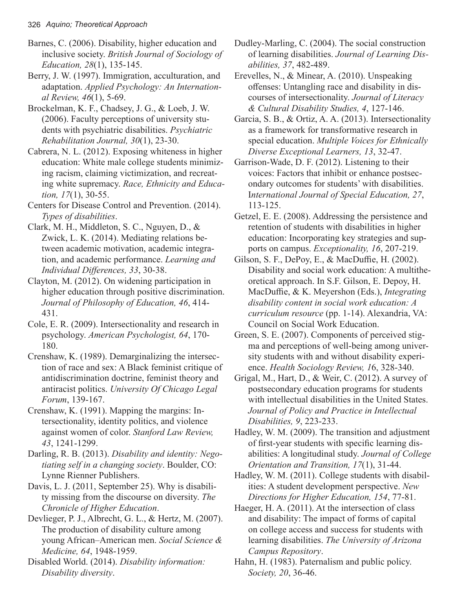- Barnes, C. (2006). Disability, higher education and inclusive society. *British Journal of Sociology of Education, 28*(1), 135-145.
- Berry, J. W. (1997). Immigration, acculturation, and adaptation. *Applied Psychology: An International Review, 46*(1), 5-69.
- Brockelman, K. F., Chadsey, J. G., & Loeb, J. W. (2006). Faculty perceptions of university students with psychiatric disabilities. *Psychiatric Rehabilitation Journal, 30*(1), 23-30.
- Cabrera, N. L. (2012). Exposing whiteness in higher education: White male college students minimizing racism, claiming victimization, and recreating white supremacy. *Race, Ethnicity and Education, 17*(1), 30-55.
- Centers for Disease Control and Prevention. (2014). *Types of disabilities*.
- Clark, M. H., Middleton, S. C., Nguyen, D., & Zwick, L. K. (2014). Mediating relations between academic motivation, academic integration, and academic performance. *Learning and Individual Differences, 33*, 30-38.
- Clayton, M. (2012). On widening participation in higher education through positive discrimination. *Journal of Philosophy of Education, 46*, 414- 431.
- Cole, E. R. (2009). Intersectionality and research in psychology. *American Psychologist, 64*, 170- 180.
- Crenshaw, K. (1989). Demarginalizing the intersection of race and sex: A Black feminist critique of antidiscrimination doctrine, feminist theory and antiracist politics. *University Of Chicago Legal Forum*, 139-167.
- Crenshaw, K. (1991). Mapping the margins: Intersectionality, identity politics, and violence against women of color. *Stanford Law Review, 43*, 1241-1299.
- Darling, R. B. (2013). *Disability and identity: Negotiating self in a changing society*. Boulder, CO: Lynne Rienner Publishers.
- Davis, L. J. (2011, September 25). Why is disability missing from the discourse on diversity. *The Chronicle of Higher Education*.
- Devlieger, P. J., Albrecht, G. L., & Hertz, M. (2007). The production of disability culture among young African–American men. *Social Science & Medicine, 64*, 1948-1959.
- Disabled World. (2014). *Disability information: Disability diversity*.
- Dudley-Marling, C. (2004). The social construction of learning disabilities. *Journal of Learning Disabilities, 37*, 482-489.
- Erevelles, N., & Minear, A. (2010). Unspeaking offenses: Untangling race and disability in discourses of intersectionality. *Journal of Literacy & Cultural Disability Studies, 4*, 127-146.
- Garcia, S. B., & Ortiz, A. A. (2013). Intersectionality as a framework for transformative research in special education. *Multiple Voices for Ethnically Diverse Exceptional Learners, 13*, 32-47.
- Garrison-Wade, D. F. (2012). Listening to their voices: Factors that inhibit or enhance postsecondary outcomes for students' with disabilities. I*nternational Journal of Special Education, 27*, 113-125.
- Getzel, E. E. (2008). Addressing the persistence and retention of students with disabilities in higher education: Incorporating key strategies and supports on campus. *Exceptionality, 16*, 207-219.
- Gilson, S. F., DePoy, E., & MacDuffie, H. (2002). Disability and social work education: A multitheoretical approach. In S.F. Gilson, E. Depoy, H. MacDuffie, & K. Meyershon (Eds.), *Integrating disability content in social work education: A curriculum resource* (pp. 1-14). Alexandria, VA: Council on Social Work Education.
- Green, S. E. (2007). Components of perceived stigma and perceptions of well-being among university students with and without disability experience. *Health Sociology Review, 1*6, 328-340.
- Grigal, M., Hart, D., & Weir, C. (2012). A survey of postsecondary education programs for students with intellectual disabilities in the United States. *Journal of Policy and Practice in Intellectual Disabilities, 9*, 223-233.
- Hadley, W. M. (2009). The transition and adjustment of first-year students with specific learning disabilities: A longitudinal study. *Journal of College Orientation and Transition, 17*(1), 31-44.
- Hadley, W. M. (2011). College students with disabilities: A student development perspective. *New Directions for Higher Education, 154*, 77-81.
- Haeger, H. A. (2011). At the intersection of class and disability: The impact of forms of capital on college access and success for students with learning disabilities. *The University of Arizona Campus Repository*.
- Hahn, H. (1983). Paternalism and public policy. *Society, 20*, 36-46.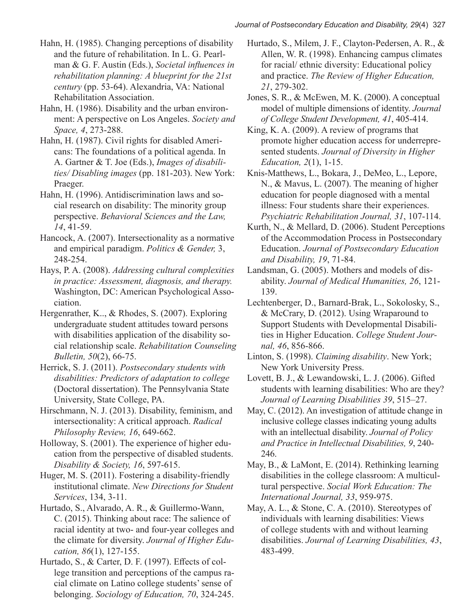Hahn, H. (1985). Changing perceptions of disability and the future of rehabilitation. In L. G. Pearlman & G. F. Austin (Eds.), *Societal influences in rehabilitation planning: A blueprint for the 21st century* (pp. 53-64). Alexandria, VA: National Rehabilitation Association.

Hahn, H. (1986). Disability and the urban environment: A perspective on Los Angeles. *Society and Space, 4*, 273-288.

Hahn, H. (1987). Civil rights for disabled Americans: The foundations of a political agenda. In A. Gartner & T. Joe (Eds.), *Images of disabilities/ Disabling images* (pp. 181-203). New York: Praeger.

Hahn, H. (1996). Antidiscrimination laws and social research on disability: The minority group perspective. *Behavioral Sciences and the Law, 14*, 41-59.

Hancock, A. (2007). Intersectionality as a normative and empirical paradigm. *Politics & Gender,* 3, 248-254.

Hays, P. A. (2008). *Addressing cultural complexities in practice: Assessment, diagnosis, and therapy.* Washington, DC: American Psychological Association.

Hergenrather, K.., & Rhodes, S. (2007). Exploring undergraduate student attitudes toward persons with disabilities application of the disability social relationship scale. *Rehabilitation Counseling Bulletin, 50*(2), 66-75.

Herrick, S. J. (2011). *Postsecondary students with disabilities: Predictors of adaptation to college* (Doctoral dissertation). The Pennsylvania State University, State College, PA.

Hirschmann, N. J. (2013). Disability, feminism, and intersectionality: A critical approach. *Radical Philosophy Review, 16*, 649-662.

Holloway, S. (2001). The experience of higher education from the perspective of disabled students. *Disability & Society, 16*, 597-615.

Huger, M. S. (2011). Fostering a disability-friendly institutional climate. *New Directions for Student Services*, 134, 3-11.

Hurtado, S., Alvarado, A. R., & Guillermo-Wann, C. (2015). Thinking about race: The salience of racial identity at two- and four-year colleges and the climate for diversity. *Journal of Higher Education, 86*(1), 127-155.

Hurtado, S., & Carter, D. F. (1997). Effects of college transition and perceptions of the campus racial climate on Latino college students' sense of belonging. *Sociology of Education, 70*, 324-245. Hurtado, S., Milem, J. F., Clayton-Pedersen, A. R., & Allen, W. R. (1998). Enhancing campus climates for racial/ ethnic diversity: Educational policy and practice. *The Review of Higher Education, 21*, 279-302.

Jones, S. R., & McEwen, M. K. (2000). A conceptual model of multiple dimensions of identity. *Journal of College Student Development, 41*, 405-414.

King, K. A. (2009). A review of programs that promote higher education access for underrepresented students. *Journal of Diversity in Higher Education, 2*(1), 1-15.

Knis-Matthews, L., Bokara, J., DeMeo, L., Lepore, N., & Mavus, L. (2007). The meaning of higher education for people diagnosed with a mental illness: Four students share their experiences. *Psychiatric Rehabilitation Journal, 31*, 107-114.

Kurth, N., & Mellard, D. (2006). Student Perceptions of the Accommodation Process in Postsecondary Education. *Journal of Postsecondary Education and Disability, 19*, 71-84.

Landsman, G. (2005). Mothers and models of disability. *Journal of Medical Humanities, 26*, 121- 139.

Lechtenberger, D., Barnard-Brak, L., Sokolosky, S., & McCrary, D. (2012). Using Wraparound to Support Students with Developmental Disabilities in Higher Education. *College Student Journal, 46*, 856-866.

Linton, S. (1998). *Claiming disability*. New York; New York University Press.

Lovett, B. J., & Lewandowski, L. J. (2006). Gifted students with learning disabilities: Who are they? *Journal of Learning Disabilities 39*, 515–27.

May, C. (2012). An investigation of attitude change in inclusive college classes indicating young adults with an intellectual disability. *Journal of Policy and Practice in Intellectual Disabilities, 9*, 240- 246.

May, B., & LaMont, E. (2014). Rethinking learning disabilities in the college classroom: A multicultural perspective. *Social Work Education: The International Journal, 33*, 959-975.

May, A. L., & Stone, C. A. (2010). Stereotypes of individuals with learning disabilities: Views of college students with and without learning disabilities. *Journal of Learning Disabilities, 43*, 483-499.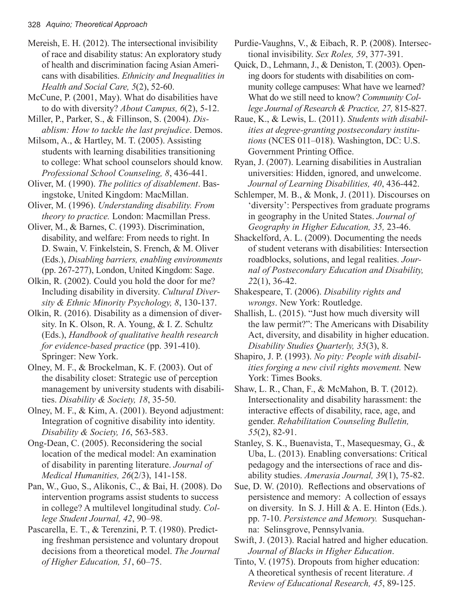Mereish, E. H. (2012). The intersectional invisibility of race and disability status: An exploratory study of health and discrimination facing Asian Americans with disabilities. *Ethnicity and Inequalities in Health and Social Care, 5*(2), 52-60.

McCune, P. (2001, May). What do disabilities have to do with diversity? *About Campus, 6*(2), 5-12.

Miller, P., Parker, S., & Fillinson, S. (2004). *Disablism: How to tackle the last prejudice*. Demos.

Milsom, A., & Hartley, M. T. (2005). Assisting students with learning disabilities transitioning to college: What school counselors should know. *Professional School Counseling, 8*, 436-441.

Oliver, M. (1990). *The politics of disablement*. Basingstoke, United Kingdom: MacMillan.

Oliver, M. (1996). *Understanding disability. From theory to practice.* London: Macmillan Press.

Oliver, M., & Barnes, C. (1993). Discrimination, disability, and welfare: From needs to right. In D. Swain, V. Finkelstein, S. French, & M. Oliver (Eds.), *Disabling barriers, enabling environments* (pp. 267-277), London, United Kingdom: Sage.

Olkin, R. (2002). Could you hold the door for me? Including disability in diversity. *Cultural Diversity & Ethnic Minority Psychology, 8*, 130-137.

Olkin, R. (2016). Disability as a dimension of diversity. In K. Olson, R. A. Young, & I. Z. Schultz (Eds.), *Handbook of qualitative health research for evidence-based practice* (pp. 391-410). Springer: New York.

Olney, M. F., & Brockelman, K. F. (2003). Out of the disability closet: Strategic use of perception management by university students with disabilities. *Disability & Society, 18*, 35-50.

Olney, M. F., & Kim, A. (2001). Beyond adjustment: Integration of cognitive disability into identity. *Disability & Society, 16*, 563-583.

Ong-Dean, C. (2005). Reconsidering the social location of the medical model: An examination of disability in parenting literature. *Journal of Medical Humanities, 26*(2/3), 141-158.

Pan, W., Guo, S., Alikonis, C., & Bai, H. (2008). Do intervention programs assist students to success in college? A multilevel longitudinal study. *College Student Journal, 42*, 90–98.

Pascarella, E. T., & Terenzini, P. T. (1980). Predicting freshman persistence and voluntary dropout decisions from a theoretical model. *The Journal of Higher Education, 51*, 60–75.

Purdie-Vaughns, V., & Eibach, R. P. (2008). Intersectional invisibility. *Sex Roles, 59*, 377-391.

Quick, D., Lehmann, J., & Deniston, T. (2003). Opening doors for students with disabilities on community college campuses: What have we learned? What do we still need to know? *Community College Journal of Research & Practice, 27,* 815-827.

Raue, K., & Lewis, L. (2011). *Students with disabilities at degree-granting postsecondary institutions* (NCES 011–018). Washington, DC: U.S. Government Printing Office.

Ryan, J. (2007). Learning disabilities in Australian universities: Hidden, ignored, and unwelcome. *Journal of Learning Disabilities, 40*, 436-442.

Schlemper, M. B., & Monk, J. (2011). Discourses on 'diversity': Perspectives from graduate programs in geography in the United States. *Journal of Geography in Higher Education, 35,* 23-46.

Shackelford, A. L. (2009). Documenting the needs of student veterans with disabilities: Intersection roadblocks, solutions, and legal realities. *Journal of Postsecondary Education and Disability, 2*2(1), 36-42.

Shakespeare, T. (2006). *Disability rights and wrongs*. New York: Routledge.

Shallish, L. (2015). "Just how much diversity will the law permit?": The Americans with Disability Act, diversity, and disability in higher education. *Disability Studies Quarterly, 35*(3), 8.

Shapiro, J. P. (1993). *No pity: People with disabilities forging a new civil rights movement.* New York: Times Books.

Shaw, L. R., Chan, F., & McMahon, B. T. (2012). Intersectionality and disability harassment: the interactive effects of disability, race, age, and gender. *Rehabilitation Counseling Bulletin, 55*(2), 82-91.

Stanley, S. K., Buenavista, T., Masequesmay, G., & Uba, L. (2013). Enabling conversations: Critical pedagogy and the intersections of race and disability studies. *Amerasia Journal, 39*(1), 75-82.

Sue, D. W. (2010). Reflections and observations of persistence and memory: A collection of essays on diversity. In S. J. Hill & A. E. Hinton (Eds.). pp. 7-10. *Persistence and Memory.* Susquehanna: Selinsgrove, Pennsylvania.

Swift, J. (2013). Racial hatred and higher education. *Journal of Blacks in Higher Education*.

Tinto, V. (1975). Dropouts from higher education: A theoretical synthesis of recent literature. *A Review of Educational Research, 45*, 89-125.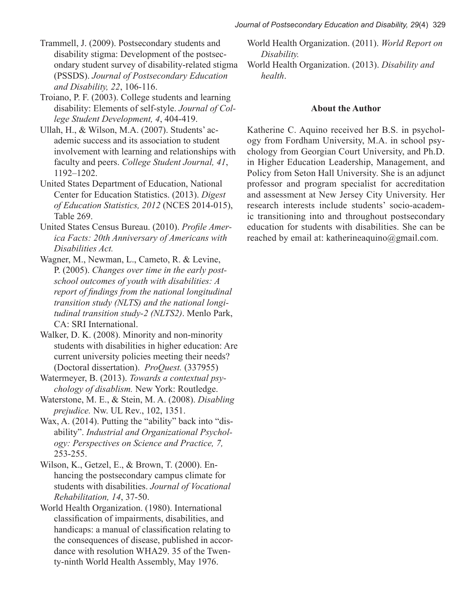*Journal of Postsecondary Education and Disability, 29*(4) 329

Trammell, J. (2009). Postsecondary students and disability stigma: Development of the postsecondary student survey of disability-related stigma (PSSDS). *Journal of Postsecondary Education and Disability, 22*, 106-116.

Troiano, P. F. (2003). College students and learning disability: Elements of self-style. *Journal of College Student Development, 4*, 404-419.

Ullah, H., & Wilson, M.A. (2007). Students' academic success and its association to student involvement with learning and relationships with faculty and peers. *College Student Journal, 41*, 1192–1202.

United States Department of Education, National Center for Education Statistics. (2013). *Digest of Education Statistics, 2012* (NCES 2014-015), Table 269.

United States Census Bureau. (2010). *Profile America Facts: 20th Anniversary of Americans with Disabilities Act.*

Wagner, M., Newman, L., Cameto, R. & Levine, P. (2005). *Changes over time in the early postschool outcomes of youth with disabilities: A report of findings from the national longitudinal transition study (NLTS) and the national longitudinal transition study-2 (NLTS2)*. Menlo Park, CA: SRI International.

Walker, D. K. (2008). Minority and non-minority students with disabilities in higher education: Are current university policies meeting their needs? (Doctoral dissertation). *ProQuest.* (337955)

Watermeyer, B. (2013). *Towards a contextual psychology of disablism.* New York: Routledge.

Waterstone, M. E., & Stein, M. A. (2008). *Disabling prejudice.* Nw. UL Rev., 102, 1351.

Wax, A. (2014). Putting the "ability" back into "disability". *Industrial and Organizational Psychology: Perspectives on Science and Practice, 7,* 253-255.

Wilson, K., Getzel, E., & Brown, T. (2000). Enhancing the postsecondary campus climate for students with disabilities. *Journal of Vocational Rehabilitation, 14*, 37-50.

World Health Organization. (1980). International classification of impairments, disabilities, and handicaps: a manual of classification relating to the consequences of disease, published in accordance with resolution WHA29. 35 of the Twenty-ninth World Health Assembly, May 1976.

World Health Organization. (2011). *World Report on Disability.*

World Health Organization. (2013). *Disability and health*.

## **About the Author**

Katherine C. Aquino received her B.S. in psychology from Fordham University, M.A. in school psychology from Georgian Court University, and Ph.D. in Higher Education Leadership, Management, and Policy from Seton Hall University. She is an adjunct professor and program specialist for accreditation and assessment at New Jersey City University. Her research interests include students' socio-academic transitioning into and throughout postsecondary education for students with disabilities. She can be reached by email at: katherineaquino@gmail.com.